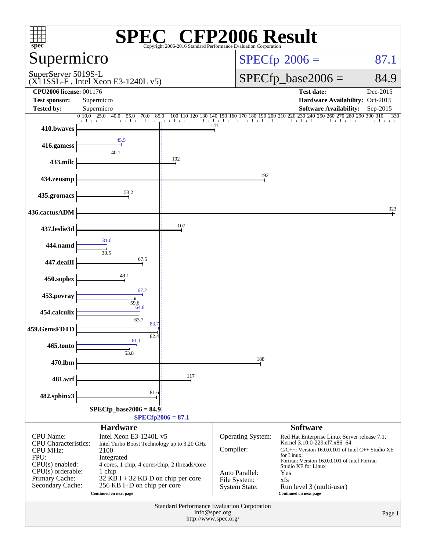| $s\overline{p}$ ec <sup>®</sup>                |                                                           | Copyright 2006-2016 Standard Performance Evaluation ( | $\mathbb{C}^{\circledast}$ CFP2006 Result          |                                                                                                          |                 |
|------------------------------------------------|-----------------------------------------------------------|-------------------------------------------------------|----------------------------------------------------|----------------------------------------------------------------------------------------------------------|-----------------|
|                                                | Supermicro                                                |                                                       |                                                    | $SPECfp^{\circledast}2006 =$                                                                             | 87.1            |
|                                                | SuperServer 5019S-L<br>(X11SSL-F, Intel Xeon E3-1240L v5) |                                                       |                                                    | $SPECfp\_base2006 =$                                                                                     | 84.9            |
| <b>CPU2006 license: 001176</b>                 |                                                           |                                                       |                                                    | <b>Test date:</b>                                                                                        | Dec-2015        |
| <b>Test sponsor:</b>                           | Supermicro                                                |                                                       |                                                    | Hardware Availability: Oct-2015                                                                          |                 |
| <b>Tested by:</b>                              | Supermicro<br>010.0<br>25.0<br>40.0<br>70.0<br>85.0       |                                                       |                                                    | <b>Software Availability:</b><br>140 150 160 170 180 190 200 210 220 230 240 250 260 270 280 290 300 310 | Sep-2015<br>330 |
| 410.bwaves                                     | 55.0                                                      | 100 110<br>120<br>130                                 | 141                                                |                                                                                                          |                 |
| 416.gamess                                     | 45.5<br>40.1                                              |                                                       |                                                    |                                                                                                          |                 |
| 433.milc                                       |                                                           | 102                                                   |                                                    |                                                                                                          |                 |
| 434.zeusmp                                     |                                                           |                                                       | 192                                                |                                                                                                          |                 |
| 435.gromacs                                    | 53.2                                                      |                                                       |                                                    |                                                                                                          |                 |
| 436.cactusADM                                  |                                                           |                                                       |                                                    |                                                                                                          | 323             |
| 437.leslie3d                                   |                                                           | 107                                                   |                                                    |                                                                                                          |                 |
| 444.namd                                       | 31.0<br>30.5                                              |                                                       |                                                    |                                                                                                          |                 |
| 447.dealII                                     | 67.5                                                      |                                                       |                                                    |                                                                                                          |                 |
| 450.soplex                                     | 49.1                                                      |                                                       |                                                    |                                                                                                          |                 |
| 453.povray                                     | 67.2<br>59.6<br>64.8                                      |                                                       |                                                    |                                                                                                          |                 |
| 454.calculix                                   | 63.7<br>83.7                                              |                                                       |                                                    |                                                                                                          |                 |
| 459.GemsFDTD                                   | 82.4<br>61.1                                              |                                                       |                                                    |                                                                                                          |                 |
| 465.tonto                                      | 53.8                                                      |                                                       |                                                    |                                                                                                          |                 |
| 470.lbm                                        |                                                           |                                                       | 188                                                |                                                                                                          |                 |
| 481.wrf                                        | 81.6                                                      | 117                                                   |                                                    |                                                                                                          |                 |
| 482.sphinx3                                    |                                                           |                                                       |                                                    |                                                                                                          |                 |
|                                                | $SPECfp\_base2006 = 84.9$                                 | $SPECfp2006 = 87.1$                                   |                                                    |                                                                                                          |                 |
|                                                | <b>Hardware</b>                                           |                                                       |                                                    | <b>Software</b>                                                                                          |                 |
| CPU Name:                                      | Intel Xeon E3-1240L v5                                    |                                                       | Operating System:                                  | Red Hat Enterprise Linux Server release 7.1,                                                             |                 |
| <b>CPU</b> Characteristics:<br><b>CPU MHz:</b> | Intel Turbo Boost Technology up to 3.20 GHz<br>2100       |                                                       | Compiler:                                          | Kernel 3.10.0-229.el7.x86_64<br>$C/C++$ : Version 16.0.0.101 of Intel $C++$ Studio XE                    |                 |
| FPU:                                           | Integrated                                                |                                                       |                                                    | for Linux:<br>Fortran: Version 16.0.0.101 of Intel Fortran                                               |                 |
| $CPU(s)$ enabled:<br>$CPU(s)$ orderable:       | 4 cores, 1 chip, 4 cores/chip, 2 threads/core<br>1 chip   |                                                       | Auto Parallel:                                     | Studio XE for Linux<br>Yes                                                                               |                 |
| Primary Cache:                                 | $32$ KB I + 32 KB D on chip per core                      |                                                       | File System:                                       | xfs                                                                                                      |                 |
| Secondary Cache:                               | 256 KB I+D on chip per core<br>Continued on next page     |                                                       | <b>System State:</b>                               | Run level 3 (multi-user)<br>Continued on next page                                                       |                 |
|                                                |                                                           |                                                       | <b>Standard Performance Evaluation Corporation</b> |                                                                                                          |                 |
|                                                |                                                           | info@spec.org                                         |                                                    |                                                                                                          | Page 1          |
|                                                |                                                           |                                                       | http://www.spec.org/                               |                                                                                                          |                 |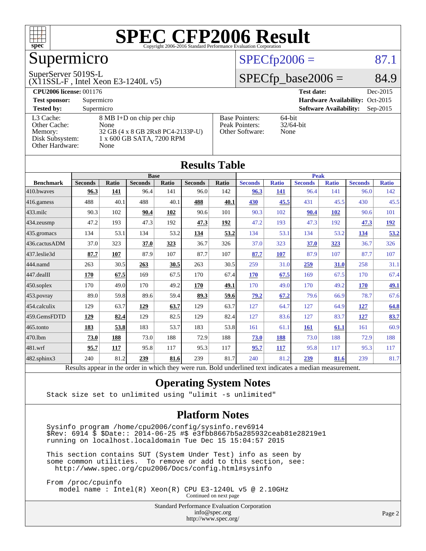

## Supermicro

#### SuperServer 5019S-L

(X11SSL-F , Intel Xeon E3-1240L v5)

#### $SPECfp2006 = 87.1$  $SPECfp2006 = 87.1$

### $SPECTp\_base2006 = 84.9$

| <b>CPU2006 license: 001176</b> |                                   |                       | <b>Test date:</b><br>Dec-2015               |  |  |  |
|--------------------------------|-----------------------------------|-----------------------|---------------------------------------------|--|--|--|
| <b>Test sponsor:</b>           | Supermicro                        |                       | Hardware Availability: Oct-2015             |  |  |  |
| <b>Tested by:</b>              | Supermicro                        |                       | <b>Software Availability:</b><br>$Sep-2015$ |  |  |  |
| L3 Cache:                      | 8 MB I+D on chip per chip         | <b>Base Pointers:</b> | $64$ -bit                                   |  |  |  |
| Other Cache:                   | None                              | Peak Pointers:        | $32/64$ -bit                                |  |  |  |
| Memory:                        | 32 GB (4 x 8 GB 2Rx8 PC4-2133P-U) | Other Software:       | None                                        |  |  |  |
| Disk Subsystem:                | 1 x 600 GB SATA, 7200 RPM         |                       |                                             |  |  |  |
| Other Hardware:                | None                              |                       |                                             |  |  |  |

**[Results Table](http://www.spec.org/auto/cpu2006/Docs/result-fields.html#ResultsTable)**

|                   |                                                                                                          |              |                |       | Results Table  |       |                |              |                |              |                |              |
|-------------------|----------------------------------------------------------------------------------------------------------|--------------|----------------|-------|----------------|-------|----------------|--------------|----------------|--------------|----------------|--------------|
|                   | <b>Base</b>                                                                                              |              |                |       |                |       | <b>Peak</b>    |              |                |              |                |              |
| <b>Benchmark</b>  | <b>Seconds</b>                                                                                           | <b>Ratio</b> | <b>Seconds</b> | Ratio | <b>Seconds</b> | Ratio | <b>Seconds</b> | <b>Ratio</b> | <b>Seconds</b> | <b>Ratio</b> | <b>Seconds</b> | <b>Ratio</b> |
| 410.bwaves        | 96.3                                                                                                     | 141          | 96.4           | 141   | 96.0           | 142   | 96.3           | 141          | 96.4           | 141          | 96.0           | 142          |
| 416.gamess        | 488                                                                                                      | 40.1         | 488            | 40.1  | 488            | 40.1  | 430            | 45.5         | 431            | 45.5         | 430            | 45.5         |
| $433$ .milc       | 90.3                                                                                                     | 102          | 90.4           | 102   | 90.6           | 101   | 90.3           | 102          | 90.4           | <b>102</b>   | 90.6           | 101          |
| 434.zeusmp        | 47.2                                                                                                     | 193          | 47.3           | 192   | 47.3           | 192   | 47.2           | 193          | 47.3           | 192          | 47.3           | <u>192</u>   |
| 435.gromacs       | 134                                                                                                      | 53.1         | 134            | 53.2  | 134            | 53.2  | 134            | 53.1         | 134            | 53.2         | <u>134</u>     | 53.2         |
| 436.cactusADM     | 37.0                                                                                                     | 323          | 37.0           | 323   | 36.7           | 326   | 37.0           | 323          | 37.0           | 323          | 36.7           | 326          |
| 437.leslie3d      | 87.7                                                                                                     | 107          | 87.9           | 107   | 87.7           | 107   | 87.7           | 107          | 87.9           | 107          | 87.7           | 107          |
| 444.namd          | 263                                                                                                      | 30.5         | 263            | 30.5  | 263            | 30.5  | 259            | 31.0         | 259            | 31.0         | 258            | 31.1         |
| $447$ .dealII     | 170                                                                                                      | 67.5         | 169            | 67.5  | 170            | 67.4  | 170            | 67.5         | 169            | 67.5         | 170            | 67.4         |
| $450$ .soplex     | 170                                                                                                      | 49.0         | 170            | 49.2  | 170            | 49.1  | 170            | 49.0         | 170            | 49.2         | <b>170</b>     | <u>49.1</u>  |
| 453.povray        | 89.0                                                                                                     | 59.8         | 89.6           | 59.4  | 89.3           | 59.6  | 79.2           | 67.2         | 79.6           | 66.9         | 78.7           | 67.6         |
| 454.calculix      | 129                                                                                                      | 63.7         | 129            | 63.7  | 129            | 63.7  | 127            | 64.7         | 127            | 64.9         | 127            | 64.8         |
| 459.GemsFDTD      | 129                                                                                                      | 82.4         | 129            | 82.5  | 129            | 82.4  | 127            | 83.6         | 127            | 83.7         | 127            | 83.7         |
| $465$ .tonto      | 183                                                                                                      | 53.8         | 183            | 53.7  | 183            | 53.8  | 161            | 61.1         | <b>161</b>     | 61.1         | 161            | 60.9         |
| 470.1bm           | 73.0                                                                                                     | 188          | 73.0           | 188   | 72.9           | 188   | 73.0           | 188          | 73.0           | 188          | 72.9           | 188          |
| 481.wrf           | 95.7                                                                                                     | 117          | 95.8           | 117   | 95.3           | 117   | 95.7           | 117          | 95.8           | 117          | 95.3           | 117          |
| $482$ .sphinx $3$ | 240                                                                                                      | 81.2         | 239            | 81.6  | 239            | 81.7  | 240            | 81.2         | 239            | 81.6         | 239            | 81.7         |
|                   | Results appear in the order in which they were run. Bold underlined text indicates a median measurement. |              |                |       |                |       |                |              |                |              |                |              |

#### **[Operating System Notes](http://www.spec.org/auto/cpu2006/Docs/result-fields.html#OperatingSystemNotes)**

Stack size set to unlimited using "ulimit -s unlimited"

#### **[Platform Notes](http://www.spec.org/auto/cpu2006/Docs/result-fields.html#PlatformNotes)**

 Sysinfo program /home/cpu2006/config/sysinfo.rev6914 \$Rev: 6914 \$ \$Date:: 2014-06-25 #\$ e3fbb8667b5a285932ceab81e28219e1 running on localhost.localdomain Tue Dec 15 15:04:57 2015

 This section contains SUT (System Under Test) info as seen by some common utilities. To remove or add to this section, see: <http://www.spec.org/cpu2006/Docs/config.html#sysinfo>

 From /proc/cpuinfo model name : Intel(R) Xeon(R) CPU E3-1240L v5 @ 2.10GHz

Continued on next page

Standard Performance Evaluation Corporation [info@spec.org](mailto:info@spec.org) <http://www.spec.org/>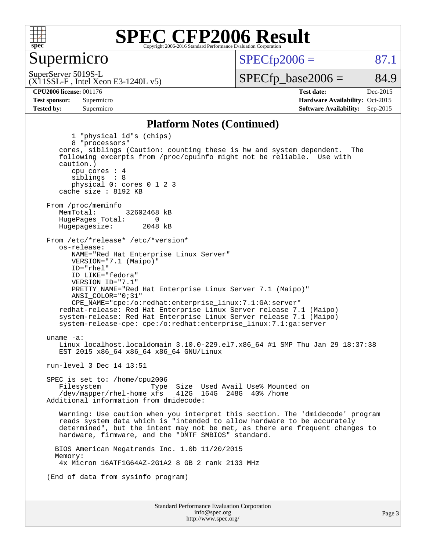

Supermicro

 $SPECTp2006 = 87.1$ 

(X11SSL-F , Intel Xeon E3-1240L v5) SuperServer 5019S-L

 $SPECTp\_base2006 = 84.9$ 

**[CPU2006 license:](http://www.spec.org/auto/cpu2006/Docs/result-fields.html#CPU2006license)** 001176 **[Test date:](http://www.spec.org/auto/cpu2006/Docs/result-fields.html#Testdate)** Dec-2015 **[Test sponsor:](http://www.spec.org/auto/cpu2006/Docs/result-fields.html#Testsponsor)** Supermicro Supermicro **[Hardware Availability:](http://www.spec.org/auto/cpu2006/Docs/result-fields.html#HardwareAvailability)** Oct-2015 **[Tested by:](http://www.spec.org/auto/cpu2006/Docs/result-fields.html#Testedby)** Supermicro **[Software Availability:](http://www.spec.org/auto/cpu2006/Docs/result-fields.html#SoftwareAvailability)** Sep-2015

#### **[Platform Notes \(Continued\)](http://www.spec.org/auto/cpu2006/Docs/result-fields.html#PlatformNotes)**

Standard Performance Evaluation Corporation 1 "physical id"s (chips) 8 "processors" cores, siblings (Caution: counting these is hw and system dependent. The following excerpts from /proc/cpuinfo might not be reliable. Use with caution.) cpu cores : 4 siblings : 8 physical 0: cores 0 1 2 3 cache size : 8192 KB From /proc/meminfo<br>MemTotal: 32602468 kB HugePages\_Total: 0<br>Hugepagesize: 2048 kB Hugepagesize: From /etc/\*release\* /etc/\*version\* os-release: NAME="Red Hat Enterprise Linux Server" VERSION="7.1 (Maipo)" ID="rhel" ID\_LIKE="fedora" VERSION\_ID="7.1" PRETTY\_NAME="Red Hat Enterprise Linux Server 7.1 (Maipo)" ANSI\_COLOR="0;31" CPE\_NAME="cpe:/o:redhat:enterprise\_linux:7.1:GA:server" redhat-release: Red Hat Enterprise Linux Server release 7.1 (Maipo) system-release: Red Hat Enterprise Linux Server release 7.1 (Maipo) system-release-cpe: cpe:/o:redhat:enterprise\_linux:7.1:ga:server uname -a: Linux localhost.localdomain 3.10.0-229.el7.x86\_64 #1 SMP Thu Jan 29 18:37:38 EST 2015 x86\_64 x86\_64 x86\_64 GNU/Linux run-level 3 Dec 14 13:51 SPEC is set to: /home/cpu2006 Filesystem Type Size Used Avail Use% Mounted on<br>/dev/mapper/rhel-home xfs 412G 164G 248G 40% /home  $/$ dev/mapper/rhel-home  $x$ fs Additional information from dmidecode: Warning: Use caution when you interpret this section. The 'dmidecode' program reads system data which is "intended to allow hardware to be accurately determined", but the intent may not be met, as there are frequent changes to hardware, firmware, and the "DMTF SMBIOS" standard. BIOS American Megatrends Inc. 1.0b 11/20/2015 Memory: 4x Micron 16ATF1G64AZ-2G1A2 8 GB 2 rank 2133 MHz (End of data from sysinfo program)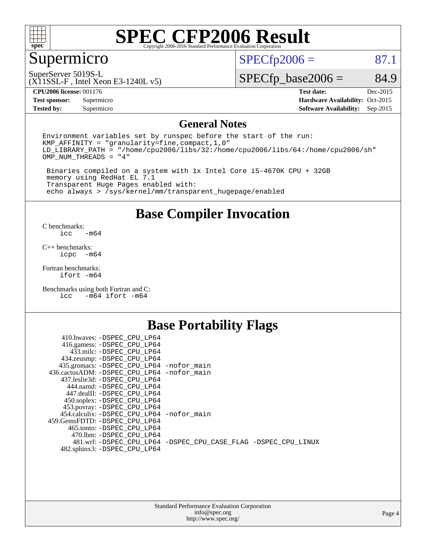

## Supermicro

 $SPECTp2006 = 87.1$ 

SuperServer 5019S-L

(X11SSL-F , Intel Xeon E3-1240L v5)

 $SPECfp\_base2006 = 84.9$ 

**[CPU2006 license:](http://www.spec.org/auto/cpu2006/Docs/result-fields.html#CPU2006license)** 001176 **[Test date:](http://www.spec.org/auto/cpu2006/Docs/result-fields.html#Testdate)** Dec-2015

**[Test sponsor:](http://www.spec.org/auto/cpu2006/Docs/result-fields.html#Testsponsor)** Supermicro Supermicro **[Hardware Availability:](http://www.spec.org/auto/cpu2006/Docs/result-fields.html#HardwareAvailability)** Oct-2015 **[Tested by:](http://www.spec.org/auto/cpu2006/Docs/result-fields.html#Testedby)** Supermicro **[Software Availability:](http://www.spec.org/auto/cpu2006/Docs/result-fields.html#SoftwareAvailability)** Sep-2015

#### **[General Notes](http://www.spec.org/auto/cpu2006/Docs/result-fields.html#GeneralNotes)**

Environment variables set by runspec before the start of the run: KMP\_AFFINITY = "granularity=fine,compact,1,0" LD\_LIBRARY\_PATH = "/home/cpu2006/libs/32:/home/cpu2006/libs/64:/home/cpu2006/sh" OMP\_NUM\_THREADS = "4"

 Binaries compiled on a system with 1x Intel Core i5-4670K CPU + 32GB memory using RedHat EL 7.1 Transparent Huge Pages enabled with: echo always > /sys/kernel/mm/transparent\_hugepage/enabled

#### **[Base Compiler Invocation](http://www.spec.org/auto/cpu2006/Docs/result-fields.html#BaseCompilerInvocation)**

[C benchmarks](http://www.spec.org/auto/cpu2006/Docs/result-fields.html#Cbenchmarks):  $-m64$ 

[C++ benchmarks:](http://www.spec.org/auto/cpu2006/Docs/result-fields.html#CXXbenchmarks) [icpc -m64](http://www.spec.org/cpu2006/results/res2016q1/cpu2006-20151217-38455.flags.html#user_CXXbase_intel_icpc_64bit_bedb90c1146cab66620883ef4f41a67e)

[Fortran benchmarks](http://www.spec.org/auto/cpu2006/Docs/result-fields.html#Fortranbenchmarks): [ifort -m64](http://www.spec.org/cpu2006/results/res2016q1/cpu2006-20151217-38455.flags.html#user_FCbase_intel_ifort_64bit_ee9d0fb25645d0210d97eb0527dcc06e)

[Benchmarks using both Fortran and C](http://www.spec.org/auto/cpu2006/Docs/result-fields.html#BenchmarksusingbothFortranandC): [icc -m64](http://www.spec.org/cpu2006/results/res2016q1/cpu2006-20151217-38455.flags.html#user_CC_FCbase_intel_icc_64bit_0b7121f5ab7cfabee23d88897260401c) [ifort -m64](http://www.spec.org/cpu2006/results/res2016q1/cpu2006-20151217-38455.flags.html#user_CC_FCbase_intel_ifort_64bit_ee9d0fb25645d0210d97eb0527dcc06e)

### **[Base Portability Flags](http://www.spec.org/auto/cpu2006/Docs/result-fields.html#BasePortabilityFlags)**

| 410.bwaves: -DSPEC CPU LP64                 |                                                                |
|---------------------------------------------|----------------------------------------------------------------|
| 416.gamess: -DSPEC_CPU_LP64                 |                                                                |
| 433.milc: -DSPEC CPU LP64                   |                                                                |
| 434.zeusmp: -DSPEC_CPU_LP64                 |                                                                |
| 435.gromacs: -DSPEC_CPU_LP64 -nofor_main    |                                                                |
| 436.cactusADM: -DSPEC CPU LP64 -nofor main  |                                                                |
| 437.leslie3d: -DSPEC CPU LP64               |                                                                |
| 444.namd: -DSPEC CPU LP64                   |                                                                |
| 447.dealII: -DSPEC CPU LP64                 |                                                                |
| 450.soplex: -DSPEC_CPU_LP64                 |                                                                |
| 453.povray: -DSPEC_CPU_LP64                 |                                                                |
| 454.calculix: - DSPEC CPU LP64 - nofor main |                                                                |
| 459. GemsFDTD: - DSPEC CPU LP64             |                                                                |
| 465.tonto: - DSPEC CPU LP64                 |                                                                |
| 470.1bm: - DSPEC CPU LP64                   |                                                                |
|                                             | 481.wrf: -DSPEC CPU_LP64 -DSPEC_CPU_CASE_FLAG -DSPEC_CPU_LINUX |
| 482.sphinx3: -DSPEC_CPU_LP64                |                                                                |
|                                             |                                                                |

| <b>Standard Performance Evaluation Corporation</b> |
|----------------------------------------------------|
| info@spec.org                                      |
| http://www.spec.org/                               |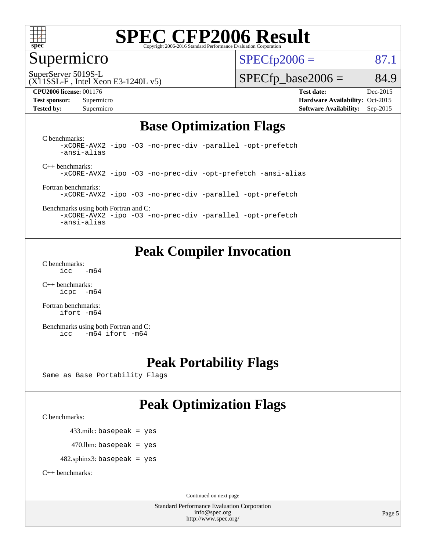

## Supermicro

 $SPECTp2006 = 87.1$ 

SuperServer 5019S-L

#### (X11SSL-F , Intel Xeon E3-1240L v5)

**[Tested by:](http://www.spec.org/auto/cpu2006/Docs/result-fields.html#Testedby)** Supermicro **Supermicro [Software Availability:](http://www.spec.org/auto/cpu2006/Docs/result-fields.html#SoftwareAvailability)** Sep-2015

 $SPECTp\_base2006 = 84.9$ 

**[CPU2006 license:](http://www.spec.org/auto/cpu2006/Docs/result-fields.html#CPU2006license)** 001176 **[Test date:](http://www.spec.org/auto/cpu2006/Docs/result-fields.html#Testdate)** Dec-2015 **[Test sponsor:](http://www.spec.org/auto/cpu2006/Docs/result-fields.html#Testsponsor)** Supermicro Supermicro **[Hardware Availability:](http://www.spec.org/auto/cpu2006/Docs/result-fields.html#HardwareAvailability)** Oct-2015

#### **[Base Optimization Flags](http://www.spec.org/auto/cpu2006/Docs/result-fields.html#BaseOptimizationFlags)**

[C benchmarks](http://www.spec.org/auto/cpu2006/Docs/result-fields.html#Cbenchmarks): [-xCORE-AVX2](http://www.spec.org/cpu2006/results/res2016q1/cpu2006-20151217-38455.flags.html#user_CCbase_f-xAVX2_5f5fc0cbe2c9f62c816d3e45806c70d7) [-ipo](http://www.spec.org/cpu2006/results/res2016q1/cpu2006-20151217-38455.flags.html#user_CCbase_f-ipo) [-O3](http://www.spec.org/cpu2006/results/res2016q1/cpu2006-20151217-38455.flags.html#user_CCbase_f-O3) [-no-prec-div](http://www.spec.org/cpu2006/results/res2016q1/cpu2006-20151217-38455.flags.html#user_CCbase_f-no-prec-div) [-parallel](http://www.spec.org/cpu2006/results/res2016q1/cpu2006-20151217-38455.flags.html#user_CCbase_f-parallel) [-opt-prefetch](http://www.spec.org/cpu2006/results/res2016q1/cpu2006-20151217-38455.flags.html#user_CCbase_f-opt-prefetch) [-ansi-alias](http://www.spec.org/cpu2006/results/res2016q1/cpu2006-20151217-38455.flags.html#user_CCbase_f-ansi-alias)

[C++ benchmarks:](http://www.spec.org/auto/cpu2006/Docs/result-fields.html#CXXbenchmarks) [-xCORE-AVX2](http://www.spec.org/cpu2006/results/res2016q1/cpu2006-20151217-38455.flags.html#user_CXXbase_f-xAVX2_5f5fc0cbe2c9f62c816d3e45806c70d7) [-ipo](http://www.spec.org/cpu2006/results/res2016q1/cpu2006-20151217-38455.flags.html#user_CXXbase_f-ipo) [-O3](http://www.spec.org/cpu2006/results/res2016q1/cpu2006-20151217-38455.flags.html#user_CXXbase_f-O3) [-no-prec-div](http://www.spec.org/cpu2006/results/res2016q1/cpu2006-20151217-38455.flags.html#user_CXXbase_f-no-prec-div) [-opt-prefetch](http://www.spec.org/cpu2006/results/res2016q1/cpu2006-20151217-38455.flags.html#user_CXXbase_f-opt-prefetch) [-ansi-alias](http://www.spec.org/cpu2006/results/res2016q1/cpu2006-20151217-38455.flags.html#user_CXXbase_f-ansi-alias)

[Fortran benchmarks](http://www.spec.org/auto/cpu2006/Docs/result-fields.html#Fortranbenchmarks): [-xCORE-AVX2](http://www.spec.org/cpu2006/results/res2016q1/cpu2006-20151217-38455.flags.html#user_FCbase_f-xAVX2_5f5fc0cbe2c9f62c816d3e45806c70d7) [-ipo](http://www.spec.org/cpu2006/results/res2016q1/cpu2006-20151217-38455.flags.html#user_FCbase_f-ipo) [-O3](http://www.spec.org/cpu2006/results/res2016q1/cpu2006-20151217-38455.flags.html#user_FCbase_f-O3) [-no-prec-div](http://www.spec.org/cpu2006/results/res2016q1/cpu2006-20151217-38455.flags.html#user_FCbase_f-no-prec-div) [-parallel](http://www.spec.org/cpu2006/results/res2016q1/cpu2006-20151217-38455.flags.html#user_FCbase_f-parallel) [-opt-prefetch](http://www.spec.org/cpu2006/results/res2016q1/cpu2006-20151217-38455.flags.html#user_FCbase_f-opt-prefetch)

#### [Benchmarks using both Fortran and C](http://www.spec.org/auto/cpu2006/Docs/result-fields.html#BenchmarksusingbothFortranandC): [-xCORE-AVX2](http://www.spec.org/cpu2006/results/res2016q1/cpu2006-20151217-38455.flags.html#user_CC_FCbase_f-xAVX2_5f5fc0cbe2c9f62c816d3e45806c70d7) [-ipo](http://www.spec.org/cpu2006/results/res2016q1/cpu2006-20151217-38455.flags.html#user_CC_FCbase_f-ipo) [-O3](http://www.spec.org/cpu2006/results/res2016q1/cpu2006-20151217-38455.flags.html#user_CC_FCbase_f-O3) [-no-prec-div](http://www.spec.org/cpu2006/results/res2016q1/cpu2006-20151217-38455.flags.html#user_CC_FCbase_f-no-prec-div) [-parallel](http://www.spec.org/cpu2006/results/res2016q1/cpu2006-20151217-38455.flags.html#user_CC_FCbase_f-parallel) [-opt-prefetch](http://www.spec.org/cpu2006/results/res2016q1/cpu2006-20151217-38455.flags.html#user_CC_FCbase_f-opt-prefetch)

[-ansi-alias](http://www.spec.org/cpu2006/results/res2016q1/cpu2006-20151217-38455.flags.html#user_CC_FCbase_f-ansi-alias)

### **[Peak Compiler Invocation](http://www.spec.org/auto/cpu2006/Docs/result-fields.html#PeakCompilerInvocation)**

[C benchmarks](http://www.spec.org/auto/cpu2006/Docs/result-fields.html#Cbenchmarks):  $\text{icc}$   $-\text{m64}$ 

[C++ benchmarks:](http://www.spec.org/auto/cpu2006/Docs/result-fields.html#CXXbenchmarks) [icpc -m64](http://www.spec.org/cpu2006/results/res2016q1/cpu2006-20151217-38455.flags.html#user_CXXpeak_intel_icpc_64bit_bedb90c1146cab66620883ef4f41a67e)

[Fortran benchmarks](http://www.spec.org/auto/cpu2006/Docs/result-fields.html#Fortranbenchmarks): [ifort -m64](http://www.spec.org/cpu2006/results/res2016q1/cpu2006-20151217-38455.flags.html#user_FCpeak_intel_ifort_64bit_ee9d0fb25645d0210d97eb0527dcc06e)

[Benchmarks using both Fortran and C](http://www.spec.org/auto/cpu2006/Docs/result-fields.html#BenchmarksusingbothFortranandC): [icc -m64](http://www.spec.org/cpu2006/results/res2016q1/cpu2006-20151217-38455.flags.html#user_CC_FCpeak_intel_icc_64bit_0b7121f5ab7cfabee23d88897260401c) [ifort -m64](http://www.spec.org/cpu2006/results/res2016q1/cpu2006-20151217-38455.flags.html#user_CC_FCpeak_intel_ifort_64bit_ee9d0fb25645d0210d97eb0527dcc06e)

### **[Peak Portability Flags](http://www.spec.org/auto/cpu2006/Docs/result-fields.html#PeakPortabilityFlags)**

Same as Base Portability Flags

## **[Peak Optimization Flags](http://www.spec.org/auto/cpu2006/Docs/result-fields.html#PeakOptimizationFlags)**

[C benchmarks](http://www.spec.org/auto/cpu2006/Docs/result-fields.html#Cbenchmarks):

433.milc: basepeak = yes

 $470.$ lbm: basepeak = yes

482.sphinx3: basepeak = yes

[C++ benchmarks:](http://www.spec.org/auto/cpu2006/Docs/result-fields.html#CXXbenchmarks)

Continued on next page

Standard Performance Evaluation Corporation [info@spec.org](mailto:info@spec.org) <http://www.spec.org/>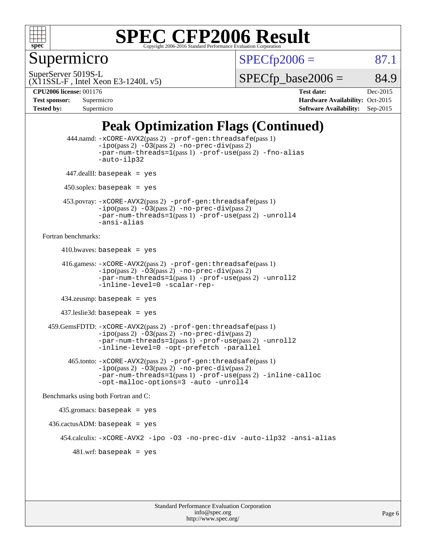

Supermicro

 $SPECTp2006 = 87.1$ 

SuperServer 5019S-L

 $SPECTp\_base2006 = 84.9$ 

(X11SSL-F , Intel Xeon E3-1240L v5)

**[CPU2006 license:](http://www.spec.org/auto/cpu2006/Docs/result-fields.html#CPU2006license)** 001176 **[Test date:](http://www.spec.org/auto/cpu2006/Docs/result-fields.html#Testdate)** Dec-2015 **[Test sponsor:](http://www.spec.org/auto/cpu2006/Docs/result-fields.html#Testsponsor)** Supermicro Supermicro **[Hardware Availability:](http://www.spec.org/auto/cpu2006/Docs/result-fields.html#HardwareAvailability)** Oct-2015 **[Tested by:](http://www.spec.org/auto/cpu2006/Docs/result-fields.html#Testedby)** Supermicro **Supermicro [Software Availability:](http://www.spec.org/auto/cpu2006/Docs/result-fields.html#SoftwareAvailability)** Sep-2015

## **[Peak Optimization Flags \(Continued\)](http://www.spec.org/auto/cpu2006/Docs/result-fields.html#PeakOptimizationFlags)**

```
 444.namd: -xCORE-AVX2(pass 2) -prof-gen:threadsafe(pass 1)
               -ipo(pass 2) -03(pass 2) -no-prec-div(pass 2)
               -par-num-threads=1(pass 1) -prof-use(pass 2) -fno-alias
               -auto-ilp32
      447.dealII: basepeak = yes
      450.soplex: basepeak = yes
      453.povray: -xCORE-AVX2(pass 2) -prof-gen:threadsafe(pass 1)
               -no-prec-div(pass 2)-par-num-threads=1(pass 1) -prof-use(pass 2) -unroll4
               -ansi-alias
Fortran benchmarks: 
     410.bwaves: basepeak = yes 416.gamess: -xCORE-AVX2(pass 2) -prof-gen:threadsafe(pass 1)
               -ipo(pass 2) -03(pass 2) -no-prec-div(pass 2)-par-num-threads=1(pass 1) -prof-use(pass 2) -unroll2
               -inline-level=0 -scalar-rep-
      434.zeusmp: basepeak = yes
     437.leslie3d: basepeak = yes
  459.GemsFDTD: -xCORE-AVX2(pass 2) -prof-gen:threadsafe(pass 1)
               -i\text{po}(pass 2) -\tilde{O}3(pass 2)-no-prec-div(pass 2)
               -par-num-threads=1(pass 1) -prof-use(pass 2) -unroll2
               -inline-level=0 -opt-prefetch -parallel
        465.tonto: -xCORE-AVX2(pass 2) -prof-gen:threadsafe(pass 1)
               -no-prec-div(pass 2)-par-num-threads=1(pass 1) -prof-use(pass 2) -inline-calloc
               -opt-malloc-options=3 -auto -unroll4
Benchmarks using both Fortran and C: 
     435.gromacs: basepeak = yes
 436.cactusADM:basepeak = yes 454.calculix: -xCORE-AVX2 -ipo -O3 -no-prec-div -auto-ilp32 -ansi-alias
        481 \text{.m}: basepeak = yes
```